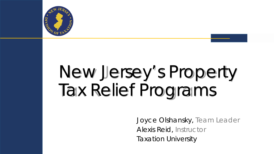

# New Jersey's Property Tax Relief Programs

*Joyce Olshansky, Team Leader Alexis Reid, Instructor Taxation University*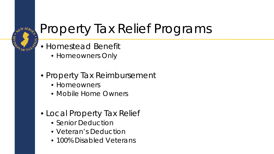

### Property Tax Relief Programs

- Homestead Benefit
	- Homeowners Only
- Property Tax Reimbursement
	- Homeowners
	- Mobile Home Owners
- Local Property Tax Relief
	- Senior Deduction
	- Veteran's Deduction
	- 100% Disabled Veterans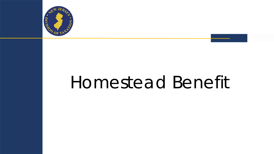

# Homestead Benefit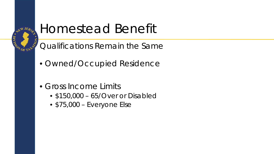

#### Homestead Benefit

Qualifications Remain the Same

- Owned/Occupied Residence
- Gross Income Limits
	- \$150,000 65/Over or Disabled
	- \$75,000 Everyone Else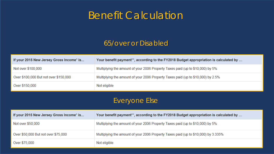#### Benefit Calculation

#### 65/over or Disabled

| If your 2015 New Jersey Gross Income* is | Your benefit payment**, according to the FY2018 Budget appropriation is calculated by |
|------------------------------------------|---------------------------------------------------------------------------------------|
| Not over \$100,000                       | Multiplying the amount of your 2006 Property Taxes paid (up to \$10,000) by 5%        |
| Over \$100,000 But not over \$150,000    | Multiplying the amount of your 2006 Property Taxes paid (up to \$10,000) by 2.5%      |
| Over \$150,000                           | Not eligible                                                                          |

#### Everyone Else

| If your 2015 New Jersey Gross Income* is | Your benefit payment**, according to the FY2018 Budget appropriation is calculated by |
|------------------------------------------|---------------------------------------------------------------------------------------|
| Not over \$50,000                        | Multiplying the amount of your 2006 Property Taxes paid (up to \$10,000) by 5%        |
| Over \$50,000 But not over \$75,000      | Multiplying the amount of your 2006 Property Taxes paid (up to \$10,000) by 3.335%    |
| Over \$75,000                            | Not eligible                                                                          |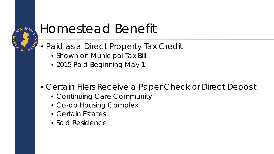

#### Homestead Benefit

- Paid as a Direct Property Tax Credit
	- Shown on Municipal Tax Bill
	- 2015 Paid Beginning May 1
- Certain Filers Receive a Paper Check or Direct Deposit
	- Continuing Care Community
	- Co-op Housing Complex
	- Certain Estates
	- Sold Residence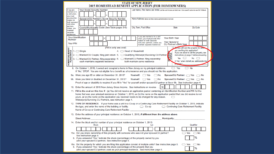|                                                            |                                                      |                         |                                                                                                                                           |              |                                                           |                         |  |  |  | <b>STATE OF NEW JERSEY</b><br>2015 HOMESTEAD BENEFIT APPLICATION (FOR HOMEOWNERS)                                                                                                                                              |                                     |                                                                               |                 |  |
|------------------------------------------------------------|------------------------------------------------------|-------------------------|-------------------------------------------------------------------------------------------------------------------------------------------|--------------|-----------------------------------------------------------|-------------------------|--|--|--|--------------------------------------------------------------------------------------------------------------------------------------------------------------------------------------------------------------------------------|-------------------------------------|-------------------------------------------------------------------------------|-----------------|--|
| Your Social Security Number<br>If you are<br>married or in |                                                      |                         | Last Name, First Name and Initial (Joint fles enter frist name and initial of each - Enter spouse/CU partner last name ONLY if different) |              |                                                           |                         |  |  |  |                                                                                                                                                                                                                                |                                     |                                                                               |                 |  |
| a civil union,                                             |                                                      |                         |                                                                                                                                           |              |                                                           |                         |  |  |  |                                                                                                                                                                                                                                |                                     |                                                                               |                 |  |
| vou must<br>provide infor-                                 |                                                      |                         |                                                                                                                                           |              | Spouse's/CU Partner's Social Security Number              |                         |  |  |  | Home Address (Number and Street, including apartment number or rural route)                                                                                                                                                    |                                     |                                                                               |                 |  |
| mation for<br>both spouses/                                |                                                      |                         |                                                                                                                                           |              |                                                           |                         |  |  |  |                                                                                                                                                                                                                                |                                     |                                                                               |                 |  |
| civil union                                                |                                                      |                         |                                                                                                                                           |              |                                                           |                         |  |  |  |                                                                                                                                                                                                                                |                                     |                                                                               |                 |  |
| partners,<br>unless you                                    |                                                      |                         |                                                                                                                                           |              | County/Municipality Code (See Table pages 8-9)            |                         |  |  |  | City, Town, Post Office                                                                                                                                                                                                        | <b>State</b>                        |                                                                               | <b>Zip Code</b> |  |
| maintain<br>separate                                       |                                                      |                         |                                                                                                                                           |              |                                                           |                         |  |  |  |                                                                                                                                                                                                                                |                                     |                                                                               |                 |  |
| residences.                                                |                                                      |                         |                                                                                                                                           |              |                                                           |                         |  |  |  | If you are married or in a civil                                                                                                                                                                                               |                                     |                                                                               |                 |  |
| <b>Number</b>                                              | <b>Your Identification</b>                           |                         |                                                                                                                                           |              |                                                           |                         |  |  |  | union, you must provide infor-                                                                                                                                                                                                 | Your Birth Year                     |                                                                               |                 |  |
| Your PIN                                                   |                                                      |                         |                                                                                                                                           |              |                                                           |                         |  |  |  | mation for both spouses/<br>civil union partners, unless you                                                                                                                                                                   | Your Spouse's/                      |                                                                               |                 |  |
|                                                            |                                                      |                         |                                                                                                                                           |              |                                                           |                         |  |  |  | maintain separate residences.                                                                                                                                                                                                  | <b>CU Partner's Birth Year</b>      |                                                                               |                 |  |
|                                                            |                                                      | 1. $\bigcirc$ Single    |                                                                                                                                           |              |                                                           | (Fill in only one oval) |  |  |  | 4. <b>Compared Household</b>                                                                                                                                                                                                   |                                     | 7 Po you still own the property for which<br>you are filing this application? |                 |  |
|                                                            |                                                      |                         |                                                                                                                                           |              |                                                           |                         |  |  |  |                                                                                                                                                                                                                                | 9.                                  | If you are about to sell the property, see                                    |                 |  |
| HOMESTEAD BENEFIT<br>FILING STATUS                         |                                                      |                         |                                                                                                                                           |              |                                                           |                         |  |  |  | 2. ◯Married/CU Couple, filing joint retum 5. ◯ Qualifying Widow(er)/Surviving CU Partner                                                                                                                                       | <b>WATERSNA</b>                     | instructions on page 2 before answering.<br>Yes $\cup$                        | No              |  |
|                                                            | $3. \subset$                                         |                         |                                                                                                                                           |              | each maintains separate residence                         |                         |  |  |  | ○Married/CU Partner, filing separately: 6. ○ Married/CU Partner, filing separately:<br>both maintain same residence                                                                                                            | సి                                  | If "No," when did/will you sell/transfer the                                  |                 |  |
|                                                            |                                                      |                         |                                                                                                                                           |              |                                                           |                         |  |  |  |                                                                                                                                                                                                                                |                                     | Distantly?                                                                    |                 |  |
|                                                            |                                                      |                         |                                                                                                                                           |              |                                                           |                         |  |  |  | 8. On October 1, 2015, I owned and occupied a home in New Jersey as my principal residence.                                                                                                                                    | $\supset$ Yes                       | $\supset$ No                                                                  |                 |  |
|                                                            |                                                      |                         |                                                                                                                                           |              |                                                           |                         |  |  |  | If "No," STOP. You are not eligible for a benefit as a homeowner and you should not file this application.                                                                                                                     |                                     |                                                                               |                 |  |
|                                                            | 9a. Were you age 65 or older on December 31, 2015?   |                         |                                                                                                                                           |              |                                                           |                         |  |  |  | Yourself: $\bigcirc$ Yes<br>$\bigcirc$ No                                                                                                                                                                                      | Spouse/CU Partner: $\bigcap$ Yes    |                                                                               | $\lnot$ No      |  |
|                                                            | 9b. Were you blind or disabled on December 31, 2015? |                         |                                                                                                                                           |              |                                                           |                         |  |  |  | Yourself: $\bigcirc$ Yes<br>$\bigcirc$ No                                                                                                                                                                                      | Spouse/CU Partner: ◯ Yes ◯ No       |                                                                               |                 |  |
|                                                            |                                                      |                         |                                                                                                                                           |              |                                                           |                         |  |  |  | Proof of age or disability is required if you fill in "Yes" for yourself and/or spouse/CU partner at 9a or 9b. See instruction page 4.                                                                                         |                                     |                                                                               |                 |  |
|                                                            |                                                      |                         |                                                                                                                                           |              |                                                           |                         |  |  |  | 10. Enter the amount of 2015 New Jersey Gross Income. See instructions on reverse                                                                                                                                              | 10                                  |                                                                               |                 |  |
|                                                            |                                                      |                         |                                                                                                                                           |              |                                                           |                         |  |  |  | 11. Fill in the oval on this line if: (a) You did not receive an application packet containing an Identification Number and PIN for the                                                                                        |                                     |                                                                               |                 |  |
|                                                            |                                                      |                         |                                                                                                                                           |              |                                                           |                         |  |  |  | home that was your principal residence on October 1, 2015, or (b) the name on the application packet that you did receive is not<br>yours, or (c) the name on the application you received needs to be changed for any reason. |                                     |                                                                               |                 |  |
|                                                            |                                                      |                         |                                                                                                                                           |              | Widow(er)s/Surviving CU Partners, see instruction page 1. |                         |  |  |  |                                                                                                                                                                                                                                |                                     |                                                                               |                 |  |
|                                                            |                                                      |                         |                                                                                                                                           |              |                                                           |                         |  |  |  | 12. TYPE OF RESIDENCE. If your home was a unit in a Co-op or a Continuing Care Retirement Facility on October 1, 2015, indicate                                                                                                |                                     |                                                                               |                 |  |
|                                                            |                                                      |                         |                                                                                                                                           |              | the type, and enter the name of the building or facility. |                         |  |  |  | $\bigcirc$ Co-op                                                                                                                                                                                                               | Continuing Care Retirement Facility |                                                                               |                 |  |
|                                                            |                                                      |                         |                                                                                                                                           |              | Name of Co-op or Continuing Care Retirement Facility:     |                         |  |  |  |                                                                                                                                                                                                                                |                                     |                                                                               |                 |  |
|                                                            |                                                      |                         |                                                                                                                                           |              |                                                           |                         |  |  |  | 13. Enter the address of your principal residence on October 1, 2015, if different from the address above.                                                                                                                     |                                     |                                                                               |                 |  |
|                                                            |                                                      | <b>Street Address:</b>  |                                                                                                                                           |              |                                                           |                         |  |  |  |                                                                                                                                                                                                                                | Municipality:                       |                                                                               |                 |  |
|                                                            |                                                      |                         |                                                                                                                                           | <b>Block</b> |                                                           |                         |  |  |  | 14. Enter the block and lot number of your principal residence on October 1, 2015:<br>Lot                                                                                                                                      |                                     |                                                                               | Qualifier       |  |
|                                                            |                                                      |                         |                                                                                                                                           |              |                                                           |                         |  |  |  |                                                                                                                                                                                                                                |                                     |                                                                               |                 |  |
|                                                            |                                                      |                         |                                                                                                                                           |              |                                                           |                         |  |  |  | 15a. Did you share ownership of this property with someone who was not your spouse/CU partner?                                                                                                                                 |                                     | Yes                                                                           | ⊃No             |  |
|                                                            |                                                      | See instruction page 4. |                                                                                                                                           |              |                                                           |                         |  |  |  |                                                                                                                                                                                                                                |                                     |                                                                               |                 |  |
|                                                            |                                                      |                         |                                                                                                                                           |              | (and your spouse/CU partner). See instruction page 5.     |                         |  |  |  | b. If you answered "Yes," indicate the share (percentage) of the property owned by you                                                                                                                                         |                                     |                                                                               | %               |  |
|                                                            |                                                      |                         |                                                                                                                                           |              |                                                           |                         |  |  |  | 16a. Did the property for which you are filing this application consist of multiple units? See instruction page 5.                                                                                                             |                                     | Yes                                                                           | ⊃No             |  |
|                                                            |                                                      |                         |                                                                                                                                           |              |                                                           |                         |  |  |  | b. If you answered "Yes," indicate the share (percentage) of the property that you<br>(and your spouse/CU partner) used as your principal residence. See instruction page 5.                                                   |                                     |                                                                               | $\%$            |  |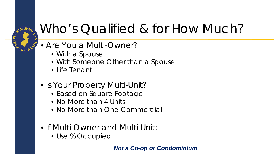

#### Who's Qualified & for How Much?

#### • Are You a Multi-Owner?

- With a Spouse
- With Someone Other than a Spouse
- Life Tenant
- Is Your Property Multi-Unit?
	- Based on Square Footage
	- No More than 4 Units
	- No More than One Commercial
- If Multi-Owner and Multi-Unit:
	- Use % Occupied

#### *Not a Co-op or Condominium*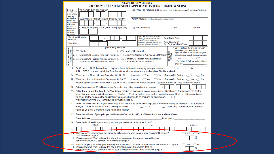| <b>STATE OF NEW JERSEY</b><br>2015 HOMESTEAD BENEFIT APPLICATION (FOR HOMEOWNERS)                                                                                                                                                                                                                                                                                                                                                                                                                                                                                                                                                                                                |  |  |  |  |
|----------------------------------------------------------------------------------------------------------------------------------------------------------------------------------------------------------------------------------------------------------------------------------------------------------------------------------------------------------------------------------------------------------------------------------------------------------------------------------------------------------------------------------------------------------------------------------------------------------------------------------------------------------------------------------|--|--|--|--|
| Your Social Security Number<br>Last Name, First Name and Initial (Joint files enter frist name and initial of each - Enter spouse/CU partner last name ONLY if different)<br>If you are<br>married or in<br>a civil union,<br>you must                                                                                                                                                                                                                                                                                                                                                                                                                                           |  |  |  |  |
| provide infor-<br>Spouse's/CU Partner's Social Security Number<br>Home Address (Number and Street, including apartment number or rural route)<br>mation for<br>both spouses/<br>civil union                                                                                                                                                                                                                                                                                                                                                                                                                                                                                      |  |  |  |  |
| partners,<br>City, Town, Post Office<br>County/Municipality Code (See Table pages 8-9)<br><b>Zip Code</b><br><b>State</b><br>unless you<br>maintain<br>separate<br>residences                                                                                                                                                                                                                                                                                                                                                                                                                                                                                                    |  |  |  |  |
| If you are married or in a civil<br><b>Your Identification</b><br><b>Your Birth Year</b><br>union, you must provide infor-<br><b>Number</b><br>mation for both spouses/<br>Your Spouse's/<br>civil union partners, unless you<br>Your PIN<br><b>CU Partner's Birth Year</b><br>maintain separate residences.                                                                                                                                                                                                                                                                                                                                                                     |  |  |  |  |
| (Fill in only one oval)<br>7. Do you still own the property for which<br>HOMESTEAD BENEFIT<br>FILING STATUS<br>you are filing this application?<br>4. C Head of Household<br>1. $\bigcirc$ Single<br><b>OWNERSHIP</b><br>STATUS<br>If you are about to sell the property, see<br>2. CMarried/CU Couple, filing joint return 5. C Qualifying Widow(er)/Surviving CU Partner<br>instructions on page 2 before answering.<br>Yes<br>$No \n\bigcirc$<br>(<br>3. CMarried/CU Partner, filing separately: 6. CMarried/CU Partner, filing separately:<br>If "No," when did/will you sell/transfer the<br>both maintain same residence<br>each maintains separate residence<br>property? |  |  |  |  |
| $\bigcirc$ Yes<br>8. On October 1, 2015, I owned and occupied a home in New Jersey as my principal residence.<br>$\bigcirc$ No<br>If "No," STOP. You are not eligible for a benefit as a homeowner and you should not file this application.<br>9a. Were you age 65 or older on December 31, 2015?<br>Yourself: $\bigcirc$ Yes $\bigcirc$ No<br>Spouse/CU Partner: no Yes<br>$\bigcirc$ No<br>9b. Were you blind or disabled on December 31, 2015?<br>Yourself: $\bigcirc$ Yes $\bigcirc$ No<br>Spouse/CU Partner: ○ Yes ○ No                                                                                                                                                    |  |  |  |  |
| Proof of age or disability is required if you fill in "Yes" for yourself and/or spouse/CU partner at 9a or 9b. See instruction page 4.<br>10. Enter the amount of 2015 New Jersey Gross Income. See instructions on reverse<br>10                                                                                                                                                                                                                                                                                                                                                                                                                                                |  |  |  |  |
| 11. Fill in the oval on this line if: (a) You did not receive an application packet containing an Identification Number and PIN for the<br>home that was your principal residence on October 1, 2015, or (b) the name on the application packet that you did receive is not<br>yours, or (c) the name on the application you received needs to be changed for any reason.<br>Widow(er)s/Surviving CU Partners, see instruction page 1.                                                                                                                                                                                                                                           |  |  |  |  |
| 12. TYPE OF RESIDENCE. If your home was a unit in a Co-op or a Continuing Care Retirement Facility on October 1, 2015, indicate<br>the type, and enter the name of the building or facility.<br>$\bigcirc$ Co-op<br>Continuing Care Retirement Facility<br>Name of Co-op or Continuing Care Retirement Facility:                                                                                                                                                                                                                                                                                                                                                                 |  |  |  |  |
| 13. Enter the address of your principal residence on October 1, 2015, if different from the address above.                                                                                                                                                                                                                                                                                                                                                                                                                                                                                                                                                                       |  |  |  |  |
| <b>Street Address:</b><br>Municipality:<br>14. Enter the block and lot number of your principal residence on October 1, 2015:<br>Qualifier<br><b>Block</b><br>Lot                                                                                                                                                                                                                                                                                                                                                                                                                                                                                                                |  |  |  |  |
|                                                                                                                                                                                                                                                                                                                                                                                                                                                                                                                                                                                                                                                                                  |  |  |  |  |
| 3a. Did you share ownership of this property with someone who was not your spouse/CU partner?<br>Yes<br>⊃ No<br>See instruction page 4.<br>$\%$<br>b. If you answered "Yes," indicate the share (percentage) of the property owned by you<br>(and your spouse/CU partner). See instruction page 5.                                                                                                                                                                                                                                                                                                                                                                               |  |  |  |  |
| 16a. Did the property for which you are filing this application consist of multiple units? See instruction page 5.<br>$\bigcirc$ No<br>Yes<br>b. If you answered "Yes," indicate the share (percentage) of the property that you<br>$\%$<br>(and your spouse/CU partner) used as your principal residence. See instruction page 5.                                                                                                                                                                                                                                                                                                                                               |  |  |  |  |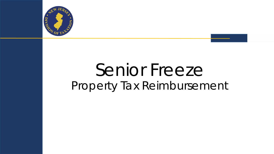

# Senior Freeze Property Tax Reimbursement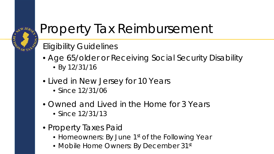

#### Property Tax Reimbursement

#### Eligibility Guidelines

- Age 65/older or Receiving Social Security Disability
	- By 12/31/16
- Lived in New Jersey for 10 Years
	- Since 12/31/06
- Owned and Lived in the Home for 3 Years
	- Since 12/31/13
- Property Taxes Paid
	- Homeowners: By June 1<sup>st</sup> of the Following Year
	- Mobile Home Owners: By December 31st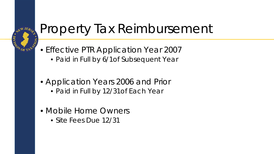

#### Property Tax Reimbursement

- Effective PTR Application Year 2007
	- Paid in Full by 6/1of Subsequent Year
- Application Years 2006 and Prior
	- Paid in Full by 12/31of Each Year
- Mobile Home Owners
	- Site Fees Due 12/31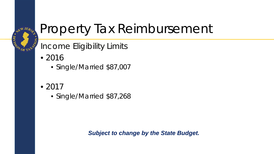

#### Property Tax Reimbursement

Income Eligibility Limits

- $2016$ 
	- Single/Married \$87,007
- $2017$ 
	- Single/Married \$87,268

*Subject to change by the State Budget.*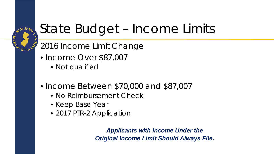

#### State Budget – Income Limits

2016 Income Limit Change

- Income Over \$87,007
	- Not qualified
- Income Between \$70,000 and \$87,007
	- No Reimbursement Check
	- Keep Base Year
	- 2017 PTR-2 Application

*Applicants with Income Under the Original Income Limit Should Always File.*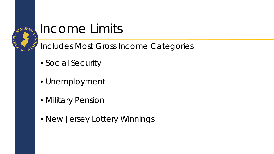

# **Income Limits**

Includes Most Gross Income Categories

- Social Security
- Unemployment
- Military Pension
- New Jersey Lottery Winnings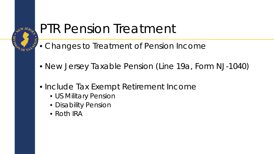

#### PTR Pension Treatment

- Changes to Treatment of Pension Income
- New Jersey Taxable Pension (Line 19a, Form NJ-1040)
- Include Tax Exempt Retirement Income
	- US Military Pension
	- Disability Pension
	- Roth IRA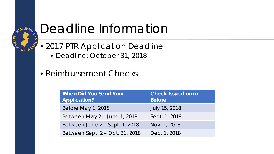

#### Deadline Information

- 2017 PTR Application Deadline
	- Deadline: October 31, 2018
- Reimbursement Checks

| <b>When Did You Send Your</b><br><b>Application?</b> | <b>Check Issued on or</b><br><b>Before</b> |  |  |  |
|------------------------------------------------------|--------------------------------------------|--|--|--|
| Before May 1, 2018                                   | July 15, 2018                              |  |  |  |
| Between May 2 - June 1, 2018                         | Sept. 1, 2018                              |  |  |  |
| Between June 2 – Sept. 1, 2018                       | Nov. 1, 2018                               |  |  |  |
| Between Sept. 2 – Oct. 31, 2018                      | Dec. 1, 2018                               |  |  |  |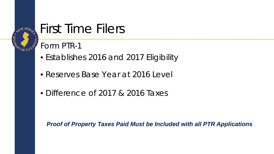

#### First Time Filers

Form PTR-1

- Establishes 2016 and 2017 Eligibility
- Reserves Base Year at 2016 Level
- Difference of 2017 & 2016 Taxes

*Proof of Property Taxes Paid Must be Included with all PTR Applications*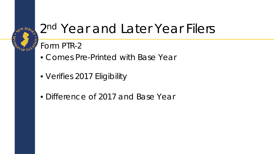

#### 2nd Year and Later Year Filers

#### Form PTR-2

- Comes Pre-Printed with Base Year
- Verifies 2017 Eligibility
- Difference of 2017 and Base Year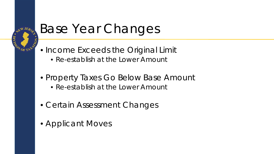

### Base Year Changes

- Income Exceeds the Original Limit
	- Re-establish at the Lower Amount
- Property Taxes Go Below Base Amount
	- Re-establish at the Lower Amount
- Certain Assessment Changes
- Applicant Moves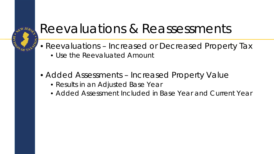

#### Reevaluations & Reassessments

- Reevaluations Increased or Decreased Property Tax
	- Use the Reevaluated Amount
- Added Assessments Increased Property Value
	- Results in an Adjusted Base Year
	- Added Assessment Included in Base Year and Current Year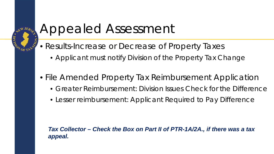

#### Appealed Assessment

- Results-Increase or Decrease of Property Taxes
	- Applicant must notify Division of the Property Tax Change
- File Amended Property Tax Reimbursement Application
	- Greater Reimbursement: Division Issues Check for the Difference
	- Lesser reimbursement: Applicant Required to Pay Difference

*Tax Collector – Check the Box on Part II of PTR-1A/2A., if there was a tax appeal.*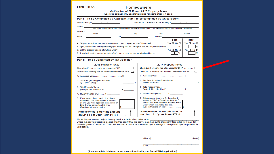#### Form PTR-1A

#### **Homeowners**

Verification of 2016 and 2017 Property Taxes (Hee blue or black ink, See instructions for completion on back)

| Part I – To Be Completed by Applicant (Part II to be completed by tax collector)                                                                                                                                                   |                                                                                                                                                                                                                                 |  |  |  |  |
|------------------------------------------------------------------------------------------------------------------------------------------------------------------------------------------------------------------------------------|---------------------------------------------------------------------------------------------------------------------------------------------------------------------------------------------------------------------------------|--|--|--|--|
| Social Security # - - -                                                                                                                                                                                                            | Spouse's/CU Partner's Social Security # - - -                                                                                                                                                                                   |  |  |  |  |
| Name                                                                                                                                                                                                                               |                                                                                                                                                                                                                                 |  |  |  |  |
|                                                                                                                                                                                                                                    | Last Name, First Name, and Initial (Joint filers, enter first name and initial of each - Enter spouse's/CU partner's last name ONLY if different)                                                                               |  |  |  |  |
| Address___<br>Street<br>City                                                                                                                                                                                                       | Zip Code<br>State                                                                                                                                                                                                               |  |  |  |  |
| <b>Block</b><br>Lot                                                                                                                                                                                                                | Qualifier and a set of the set of the set of the set of the set of the set of the set of the set of the set of the set of the set of the set of the set of the set of the set of the set of the set of the set of the set of th |  |  |  |  |
|                                                                                                                                                                                                                                    | 2016<br>2017                                                                                                                                                                                                                    |  |  |  |  |
| A. Did you own this property with someone who was not your spouse/CU partner?                                                                                                                                                      | Yes $\Box$ No $\Box$<br>Yes $\Box$ No $\Box$                                                                                                                                                                                    |  |  |  |  |
| B. If yes, indicate the share (percentage) of property that you (and your spouse/CU partner) owned.                                                                                                                                | %<br>%                                                                                                                                                                                                                          |  |  |  |  |
| C. Did this property consist of multiple units?                                                                                                                                                                                    | Yes $\Box$ No $\Box$<br>Yes $\Box$ No $\Box$                                                                                                                                                                                    |  |  |  |  |
| D. If yes, indicate the share (percentage) of property used as your principal residence.                                                                                                                                           | $\frac{9}{6}$<br>%                                                                                                                                                                                                              |  |  |  |  |
|                                                                                                                                                                                                                                    |                                                                                                                                                                                                                                 |  |  |  |  |
| Part II - To Be Completed by Tax Collector                                                                                                                                                                                         |                                                                                                                                                                                                                                 |  |  |  |  |
| 2016 Property Taxes                                                                                                                                                                                                                | 2017 Property Taxes                                                                                                                                                                                                             |  |  |  |  |
| Check box if property had a tax appeal for 2016                                                                                                                                                                                    | Check box if property had a tax appeal for $2017$                                                                                                                                                                               |  |  |  |  |
|                                                                                                                                                                                                                                    | Check box if property had an added assessment for 2017.                                                                                                                                                                         |  |  |  |  |
| Check box if property had an added assessment for 2016.                                                                                                                                                                            |                                                                                                                                                                                                                                 |  |  |  |  |
| 1. Assessed Value\$                                                                                                                                                                                                                |                                                                                                                                                                                                                                 |  |  |  |  |
| 2. Tax Rate (including fire and other                                                                                                                                                                                              | 2. Tax Rate (including fire and other                                                                                                                                                                                           |  |  |  |  |
| 3. Total Property Taxes<br>(Multiply Line 1 by Line 2). $\ldots$ . $\ldots$ . $\ldots$ . $\$                                                                                                                                       | 3. Total Property Taxes<br>(Multiply Line 1 by Line 2). \$                                                                                                                                                                      |  |  |  |  |
| 4. REAP Credit (if any)\$                                                                                                                                                                                                          | 4. REAP Credit (if any). \$                                                                                                                                                                                                     |  |  |  |  |
| 5. Enter amount from Line 3. If applicant<br>answered "Yes" to Questions A and/or C<br>above, you must apportion the amount on<br>Line 3 when completing this line.<br>(See instructions on back.) 5                               | 5. Enter amount from Line 3. If applicant<br>answered "Yes" to Questions A and/or C<br>above, you must apportion the amount on<br>Line 3 when completing this line.<br>(See instructions on back.)                              |  |  |  |  |
| Homeowners, enter this amount<br>on Line 14 of your Form PTR-1                                                                                                                                                                     | Homeowners, enter this amount<br>on Line 13 of your Form PTR-1                                                                                                                                                                  |  |  |  |  |
| Under the penalties of perjury, I certify that I am the local tax collector of ______<br>where the above property is located. I further certify that the above-stated amounts of property taxes due were paid for<br>verification. | calendar years 2016 and 2017 and are true and accurate to the best of my knowledge. I have placed my stamp below for                                                                                                            |  |  |  |  |
|                                                                                                                                                                                                                                    | (Name)<br>(Date)                                                                                                                                                                                                                |  |  |  |  |

 $(Title)$ 

(If you complete this form, be sure to enclose it with your Form PTR-1 application.)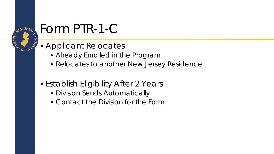

### Form PTR-1-C

- Applicant Relocates
	- Already Enrolled in the Program
	- Relocates to another New Jersey Residence
- Establish Eligibility After 2 Years
	- Division Sends Automatically
	- Contact the Division for the Form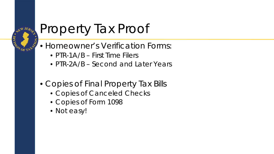

#### Property Tax Proof

- Homeowner's Verification Forms:
	- PTR-1A/B First Time Filers
	- PTR-2A/B Second and Later Years
- Copies of Final Property Tax Bills
	- Copies of Canceled Checks
	- Copies of Form 1098
	- Not easy!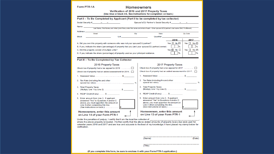#### Form PTR-1A

#### **Homeowners**

Verification of 2016 and 2017 Property Taxes (Use blue or black ink. See instructions for completion on back.)

| Social Security # - - -                                                                                                                                                                                                                                                                                                                                        | Spouse's/CU Partner's Social Security # - - -                                                                                                                                                                                   |  |  |  |  |
|----------------------------------------------------------------------------------------------------------------------------------------------------------------------------------------------------------------------------------------------------------------------------------------------------------------------------------------------------------------|---------------------------------------------------------------------------------------------------------------------------------------------------------------------------------------------------------------------------------|--|--|--|--|
| Name                                                                                                                                                                                                                                                                                                                                                           |                                                                                                                                                                                                                                 |  |  |  |  |
|                                                                                                                                                                                                                                                                                                                                                                | Last Name, First Name, and Initial (Joint filers, enter first name and initial of each - Enter spouse's/CU partner's last name ONLY if different)                                                                               |  |  |  |  |
| Address <sub>—</sub><br>Street<br>City                                                                                                                                                                                                                                                                                                                         | State<br>Zip Code                                                                                                                                                                                                               |  |  |  |  |
| <b>Block</b><br>Lot                                                                                                                                                                                                                                                                                                                                            | Qualifier and the control of the control of the control of the control of the control of the control of the control of the control of the control of the control of the control of the control of the control of the control of |  |  |  |  |
|                                                                                                                                                                                                                                                                                                                                                                | 2016<br>2017                                                                                                                                                                                                                    |  |  |  |  |
| A. Did you own this property with someone who was not your spouse/CU partner?                                                                                                                                                                                                                                                                                  | Yes $\Box$ No $\Box$<br>Yes $\Box$ No $\Box$                                                                                                                                                                                    |  |  |  |  |
| B. If yes, indicate the share (percentage) of property that you (and your spouse/CU partner) owned.                                                                                                                                                                                                                                                            | %                                                                                                                                                                                                                               |  |  |  |  |
| C. Did this property consist of multiple units?                                                                                                                                                                                                                                                                                                                | Yes $\Box$ No $\Box$<br>Yes $\Box$ No $\Box$                                                                                                                                                                                    |  |  |  |  |
| D. If yes, indicate the share (percentage) of property used as your principal residence.                                                                                                                                                                                                                                                                       | %                                                                                                                                                                                                                               |  |  |  |  |
| Part II - To Be Completed by Tax Collector                                                                                                                                                                                                                                                                                                                     |                                                                                                                                                                                                                                 |  |  |  |  |
| 2016 Property Taxes                                                                                                                                                                                                                                                                                                                                            | 2017 Property Taxes                                                                                                                                                                                                             |  |  |  |  |
| Check box if property had a tax appeal for 2016                                                                                                                                                                                                                                                                                                                | Check box if property had a tax appeal for 2017                                                                                                                                                                                 |  |  |  |  |
| Check box if property had an added assessment for 2016.                                                                                                                                                                                                                                                                                                        | Check box if property had an added assessment for 2017.                                                                                                                                                                         |  |  |  |  |
| 1. Assessed Value\$                                                                                                                                                                                                                                                                                                                                            |                                                                                                                                                                                                                                 |  |  |  |  |
| 2. Tax Rate (including fire and other                                                                                                                                                                                                                                                                                                                          | 2. Tax Rate (including fire and other                                                                                                                                                                                           |  |  |  |  |
| 3. Total Property Taxes<br>(Multiply Line 1 by Line 2)\$                                                                                                                                                                                                                                                                                                       | 3. Total Property Taxes<br>$(Multiply Line 1 by Line 2), \ldots, \ldots, S$                                                                                                                                                     |  |  |  |  |
| 4. REAP Credit (if any)\$                                                                                                                                                                                                                                                                                                                                      | 4. REAP Credit (if any). \$                                                                                                                                                                                                     |  |  |  |  |
| 5. Enter amount from Line 3. If applicant<br>answered "Yes" to Questions A and/or C<br>above, you must apportion the amount on<br>Line 3 when completing this line.                                                                                                                                                                                            | 5. Enter amount from Line 3. If applicant<br>answered "Yes" to Questions A and/or C<br>above, you must apportion the amount on<br>Line 3 when completing this line.<br>(See instructions on back.)                              |  |  |  |  |
| Homeowners, enter this amount<br>on Line 14 of your Form PTR-1                                                                                                                                                                                                                                                                                                 | Homeowners, enter this amount<br>on Line 13 of your Form PTR-1                                                                                                                                                                  |  |  |  |  |
| Under the penalties of perjury, I certify that I am the local tax collector of __________<br>where the above property is located. I further certify that the above-stated amounts of property taxes due were paid for<br>calendar years 2016 and 2017 and are true and accurate to the best of my knowledge. I have placed my stamp below for<br>verification. |                                                                                                                                                                                                                                 |  |  |  |  |
|                                                                                                                                                                                                                                                                                                                                                                | (Name)<br>(Date)                                                                                                                                                                                                                |  |  |  |  |
|                                                                                                                                                                                                                                                                                                                                                                |                                                                                                                                                                                                                                 |  |  |  |  |

(If you complete this form, be sure to enclose it with your Form PTR-1 application.)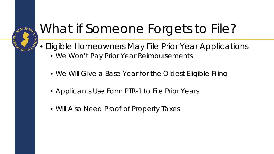### **AEW JERSE CONDETAL**

# What if Someone Forgets to File?

- Eligible Homeowners May File Prior Year Applications
	- We Won't Pay Prior Year Reimbursements
	- We Will Give a Base Year for the Oldest Eligible Filing
	- Applicants Use Form PTR-1 to File Prior Years
	- Will Also Need Proof of Property Taxes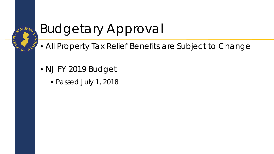

# Budgetary Approval

- All Property Tax Relief Benefits are Subject to Change
- NJ FY 2019 Budget
	- Passed July 1, 2018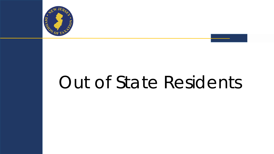

# Out of State Residents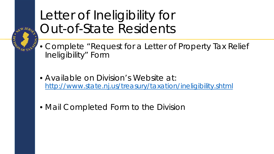

#### Letter of Ineligibility for Out-of-State Residents

- Complete "Request for a Letter of Property Tax Relief Ineligibility" Form
- Available on Division's Website at: <http://www.state.nj.us/treasury/taxation/ineligibility.shtml>
- Mail Completed Form to the Division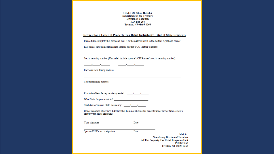**STATE OF NEW JERSEY Department of the Treasury Division of Taxation** P.O. Box 266 Trenton, NJ 08695-0266

Request for a Letter of Property Tax Relief Ineligibility - Out-of-State Residents

Please fully complete this form and mail it to the address listed in the bottom right hand corner. Last name, First name (If married include spouse's/CU Partner's name):

Social security number (If married include spouse's/CU Partner's social security number):

Previous New Jersey address:

Current mailing address:

the company of the company of the company of

What State do you reside in?

Under penalties of perjury, I declare that I am not eligible for benefits under any of New Jersey's property tax relief programs.

Your signature

Date

Date

Spouse/CU Partner's signature

**New Jersey Division of Taxation ATTN: Property Tax Relief Programs Unit** 

РО Вох 266 **Trenton, NJ 08695-0266** 

Mail to: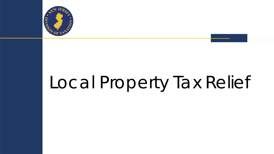

# Local Property Tax Relief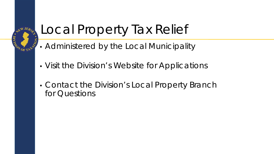### **AEW JERSE PROPERTY AND ISLANDS**

## Local Property Tax Relief

- Administered by the Local Municipality
- Visit the Division's Website for Applications
- Contact the Division's Local Property Branch for Questions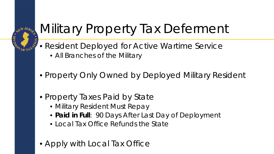

### Military Property Tax Deferment

- Resident Deployed for Active Wartime Service
	- All Branches of the Military
- Property Only Owned by Deployed Military Resident
- Property Taxes Paid by State
	- Military Resident Must Repay
	- *Paid in Full*: 90 Days After Last Day of Deployment
	- Local Tax Office Refunds the State
- Apply with Local Tax Office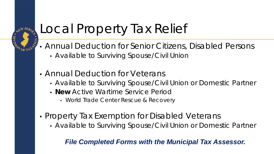#### **AEW JERE DESCRIPTION**

# Local Property Tax Relief

- Annual Deduction for Senior Citizens, Disabled Persons
	- Available to Surviving Spouse/Civil Union
- Annual Deduction for Veterans
	- Available to Surviving Spouse/Civil Union or Domestic Partner
	- *New* Active Wartime Service Period
		- World Trade Center Rescue & Recovery
- Property Tax Exemption for Disabled Veterans
	- Available to Surviving Spouse/Civil Union or Domestic Partner

#### *File Completed Forms with the Municipal Tax Assessor.*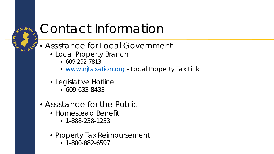

### Contact Information

- Assistance for Local Government
	- Local Property Branch
		- 609-292-7813
		- [www.njtaxation.org](http://www.njtaxation.org/) Local Property Tax Link
	- Legislative Hotline
		- 609-633-8433
- Assistance for the Public
	- Homestead Benefit
		- 1-888-238-1233
	- Property Tax Reimbursement
		- 1-800-882-6597